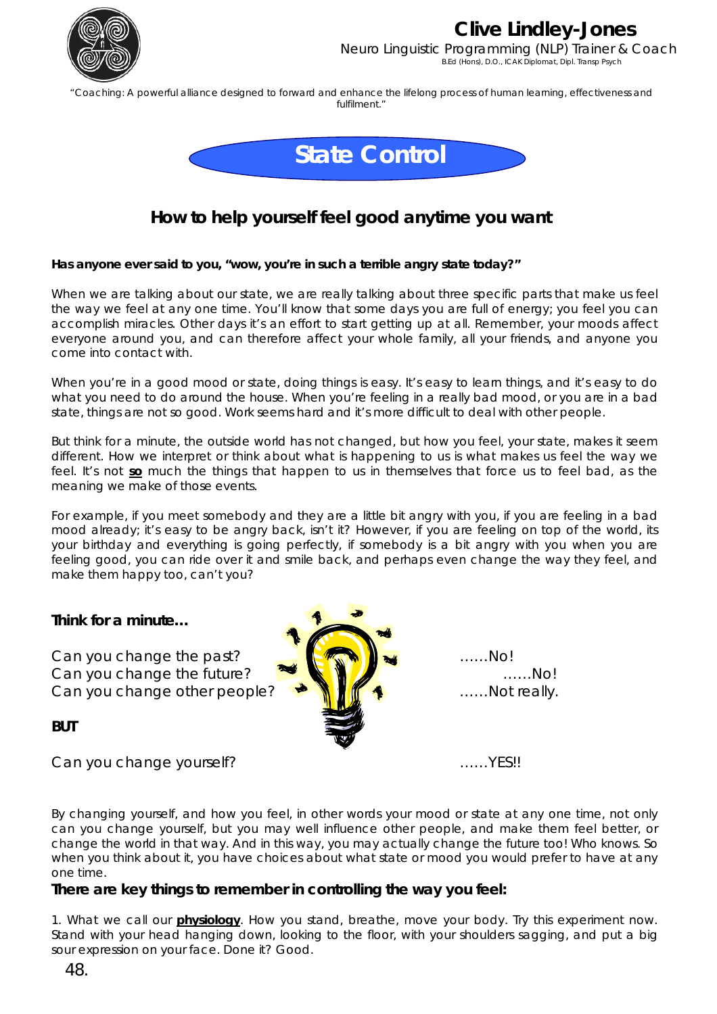

# **Clive Lindley-Jones**

Neuro Linguistic Programming (NLP) Trainer & Coach B.Ed (Hons), D.O., ICAK Diplomat, Dipl. Transp Psych

"Coaching: A powerful alliance designed to forward and enhance the lifelong process of human learning, effectiveness and fulfilment."



### **How to help yourself feel good anytime you want**

#### **Has anyone ever said to you, "wow, you're in such a terrible angry state today?"**

When we are talking about our state, we are really talking about three specific parts that make us feel the way we feel at any one time. You'll know that some days you are full of energy; you feel you can accomplish miracles. Other days it's an effort to start getting up at all. Remember, your moods affect everyone around you, and can therefore affect your whole family, all your friends, and anyone you come into contact with.

When you're in a good mood or state, doing things is easy. It's easy to learn things, and it's easy to do what you need to do around the house. When you're feeling in a really bad mood, or you are in a bad state, things are not so good. Work seems hard and it's more difficult to deal with other people.

But think for a minute, the outside world has not changed, but how you feel, your state, makes it seem different. How we interpret or think about what is happening to us is what makes us feel the way we feel. It's not **so** much the things that happen to us in themselves that force us to feel bad, as the meaning we make of those events.

For example, if you meet somebody and they are a little bit angry with you, if you are feeling in a bad mood already; it's easy to be angry back, isn't it? However, if you are feeling on top of the world, its your birthday and everything is going perfectly, if somebody is a bit angry with you when you are feeling good, you can ride over it and smile back, and perhaps even change the way they feel, and make them happy too, can't you?

### **Think for a minute…**

*BUT* 



By changing yourself, and how you feel, in other words your mood or state at any one time, not only can you change yourself, but you may well influence other people, and make them feel better, or change the world in that way. And in this way, you may actually change the future too! Who knows. So when you think about it, you have choices about what state or mood you would prefer to have at any one time.

### **There are key things to remember in controlling the way you feel:**

1. What we call our **physiology**. How you stand, breathe, move your body. Try this experiment now. Stand with your head hanging down, looking to the floor, with your shoulders sagging, and put a big sour expression on your face. Done it? Good.

48.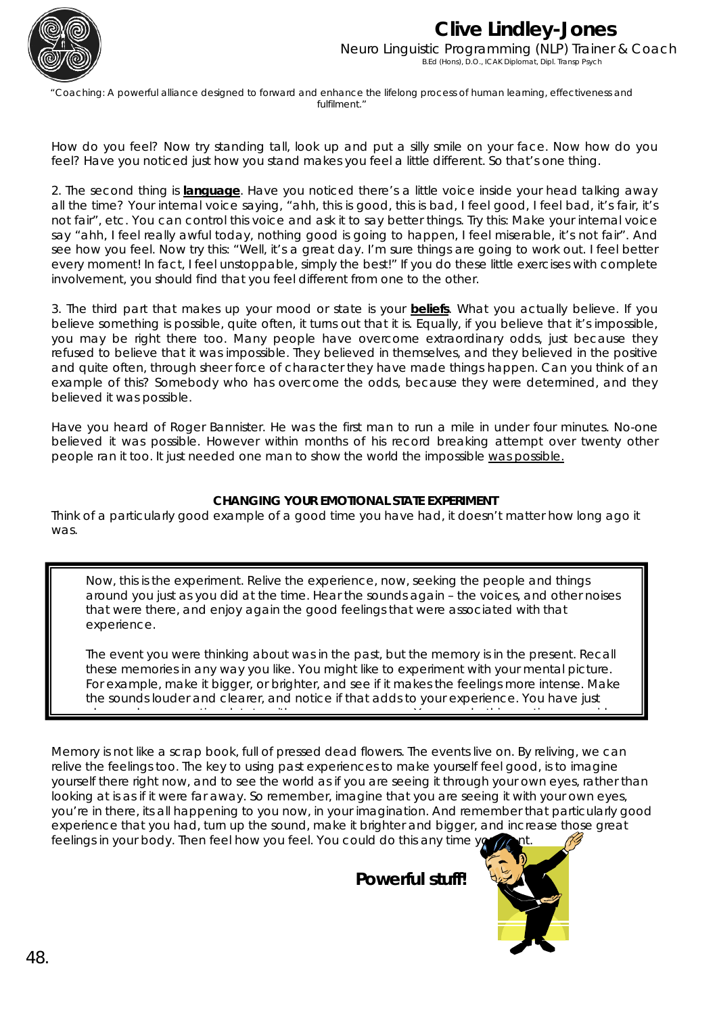

## **Clive Lindley-Jones**  Neuro Linguistic Programming (NLP) Trainer & Coach B.Ed (Hons), D.O., ICAK Diplomat, Dipl. Transp Psych

"Coaching: A powerful alliance designed to forward and enhance the lifelong process of human learning, effectiveness and fulfilment."

How do you feel? Now try standing tall, look up and put a silly smile on your face. Now how do you feel? Have you noticed just how you stand makes you feel a little different. So that's one thing.

2. The second thing is **language**. Have you noticed there's a little voice inside your head talking away all the time? Your internal voice saying, "ahh, this is good, this is bad, I feel good, I feel bad, it's fair, it's not fair", etc. You can control this voice and ask it to say better things. Try this: Make your internal voice say "ahh, I feel really awful today, nothing good is going to happen, I feel miserable, it's not fair". And see how you feel. Now try this: "Well, it's a great day. I'm sure things are going to work out. I feel better every moment! In fact, I feel unstoppable, simply the best!" If you do these little exercises with complete involvement, you should find that you feel different from one to the other.

3. The third part that makes up your mood or state is your **beliefs**. What you actually believe. If you believe something is possible, quite often, it turns out that it is. Equally, if you believe that it's impossible, you may be right there too. Many people have overcome extraordinary odds, just because they refused to believe that it was impossible. They believed in themselves, and they believed in the positive and quite often, through sheer force of character they have made things happen. Can you think of an example of this? Somebody who has overcome the odds, because they were determined, and they believed it was possible.

Have you heard of Roger Bannister. He was the first man to run a mile in under four minutes. No-one believed it was possible. However within months of his record breaking attempt over twenty other people ran it too. It just needed one man to show the world the impossible was possible.

#### **CHANGING YOUR EMOTIONAL STATE EXPERIMENT**

Think of a particularly good example of a good time you have had, it doesn't matter how long ago it was.

Now, this is the experiment. Relive the experience, now, seeking the people and things around you just as you did at the time. Hear the sounds again – the voices, and other noises that were there, and *enjoy again the good feelings that were associated with that experience.* 

The event you were thinking about was in the past, but the memory is in the present. Recall these memories in any way you like. You might like to experiment with your mental picture. For example, make it *bigger, or brighter*, and see if it makes the feelings more *intense.* Make the *sounds louder* and clearer, and notice if that adds to your experience. *You have just*

*h d ti l t t ith Y d thi ti i h*

Memory is not like a scrap book, full of pressed dead flowers. The events live on. By reliving, we can relive the feelings too. The key to using past experiences to make yourself feel good, is to imagine yourself there right now, and to see the world as if you are seeing it through your own eyes, rather than looking at is as if it were far away. So remember, imagine that you are seeing it with your own eyes, you're in there, its all happening to you now, in your imagination. And remember that particularly good experience that you had, turn up the sound, make it brighter and bigger, and increase those great feelings in your body. Then feel how you feel. You could do this any time yo

**Powerful stuff!**